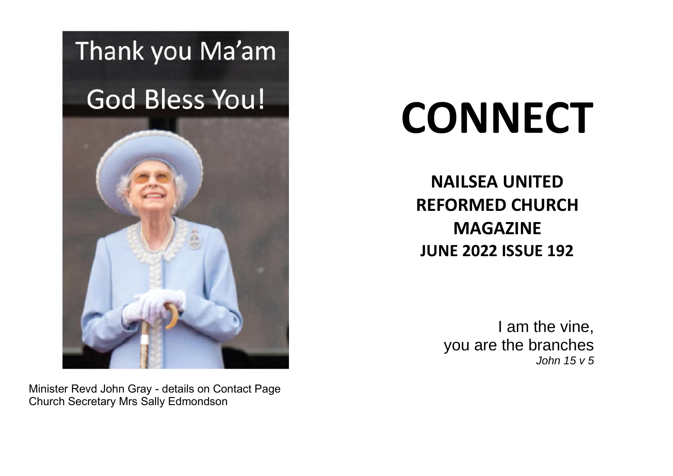# Thank you Ma'am

# **God Bless You!**



# **CONNECT**

**NAILSEA UNITED REFORMED CHURCH MAGAZINE JUNE 2022 ISSUE 192**

> I am the vine, you are the branches *John 15 v 5*

Minister Revd John Gray - details on Contact Page Church Secretary Mrs Sally Edmondson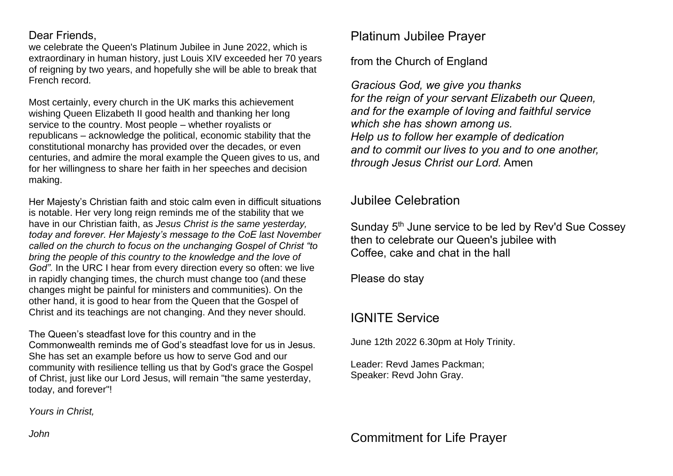#### Dear Friends,

we celebrate the Queen's Platinum Jubilee in June 2022, which is extraordinary in human history, just Louis XIV exceeded her 70 years of reigning by two years, and hopefully she will be able to break that French record.

Most certainly, every church in the UK marks this achievement wishing Queen Elizabeth II good health and thanking her long service to the country. Most people – whether royalists or republicans – acknowledge the political, economic stability that the constitutional monarchy has provided over the decades, or even centuries, and admire the moral example the Queen gives to us, and for her willingness to share her faith in her speeches and decision making.

Her Majesty's Christian faith and stoic calm even in difficult situations is notable. Her very long reign reminds me of the stability that we have in our Christian faith, as *Jesus Christ is the same yesterday, today and forever. Her Majesty's message to the CoE last November called on the church to focus on the unchanging Gospel of Christ "to bring the people of this country to the knowledge and the love of God"*. In the URC I hear from every direction every so often: we live in rapidly changing times, the church must change too (and these changes might be painful for ministers and communities). On the other hand, it is good to hear from the Queen that the Gospel of Christ and its teachings are not changing. And they never should.

The Queen's steadfast love for this country and in the Commonwealth reminds me of God's steadfast love for us in Jesus. She has set an example before us how to serve God and our community with resilience telling us that by God's grace the Gospel of Christ, just like our Lord Jesus, will remain "the same yesterday, today, and forever"!

*Yours in Christ,*

Platinum Jubilee Prayer

from the Church of England

*Gracious God, we give you thanks for the reign of your servant Elizabeth our Queen, and for the example of loving and faithful service which she has shown among us. Help us to follow her example of dedication and to commit our lives to you and to one another, through Jesus Christ our Lord.* Amen

Jubilee Celebration

Sunday 5<sup>th</sup> June service to be led by Rev'd Sue Cossey then to celebrate our Queen's jubilee with Coffee, cake and chat in the hall

Please do stay

#### IGNITE Service

June 12th 2022 6.30pm at Holy Trinity.

Leader: Revd James Packman; Speaker: Revd John Gray.

Commitment for Life Prayer

*John*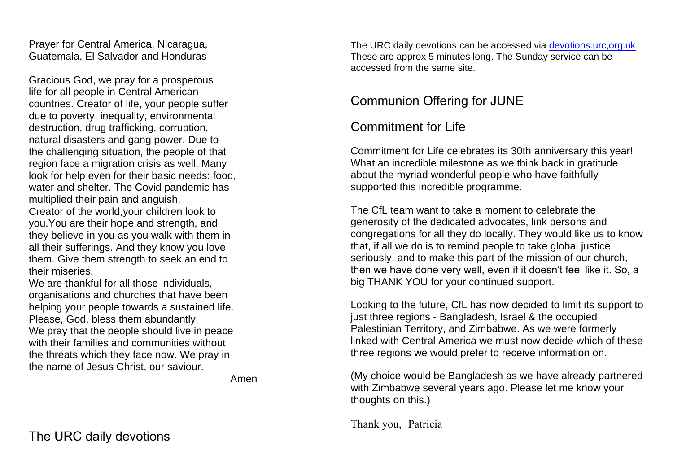Prayer for Central America, Nicaragua, Guatemala, El Salvador and Honduras

Gracious God, we pray for a prosperous life for all people in Central American countries. Creator of life, your people suffer due to poverty, inequality, environmental destruction, drug trafficking, corruption, natural disasters and gang power. Due to the challenging situation, the people of that region face a migration crisis as well. Many look for help even for their basic needs: food, water and shelter. The Covid pandemic has multiplied their pain and anguish.

Creator of the world,your children look to you.You are their hope and strength, and they believe in you as you walk with them in all their sufferings. And they know you love them. Give them strength to seek an end to their miseries.

We are thankful for all those individuals organisations and churches that have been helping your people towards a sustained life. Please, God, bless them abundantly. We pray that the people should live in peace with their families and communities without the threats which they face now. We pray in the name of Jesus Christ, our saviour.

Amen

The URC daily devotions can be accessed via [devotions.urc,org.uk](https://devotions.urc.org.uk/) These are approx 5 minutes long. The Sunday service can be accessed from the same site.

## Communion Offering for JUNE

## Commitment for Life

Commitment for Life celebrates its 30th anniversary this year! What an incredible milestone as we think back in gratitude about the myriad wonderful people who have faithfully supported this incredible programme.

The CfL team want to take a moment to celebrate the generosity of the dedicated advocates, link persons and congregations for all they do locally. They would like us to know that, if all we do is to remind people to take global justice seriously, and to make this part of the mission of our church, then we have done very well, even if it doesn't feel like it. So, a big THANK YOU for your continued support.

Looking to the future, CfL has now decided to limit its support to just three regions - Bangladesh, Israel & the occupied Palestinian Territory, and Zimbabwe. As we were formerly linked with Central America we must now decide which of these three regions we would prefer to receive information on.

(My choice would be Bangladesh as we have already partnered with Zimbabwe several years ago. Please let me know your thoughts on this.)

Thank you, Patricia